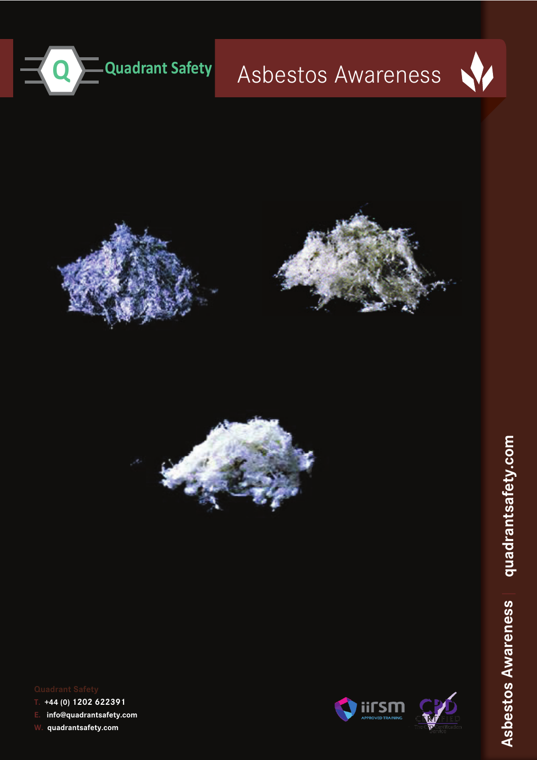

# Asbestos Awareness









**T. +44 (0) 1202 622391** 

**E. info@quadrantsafety.com**

**W. quadrantsafety.com**